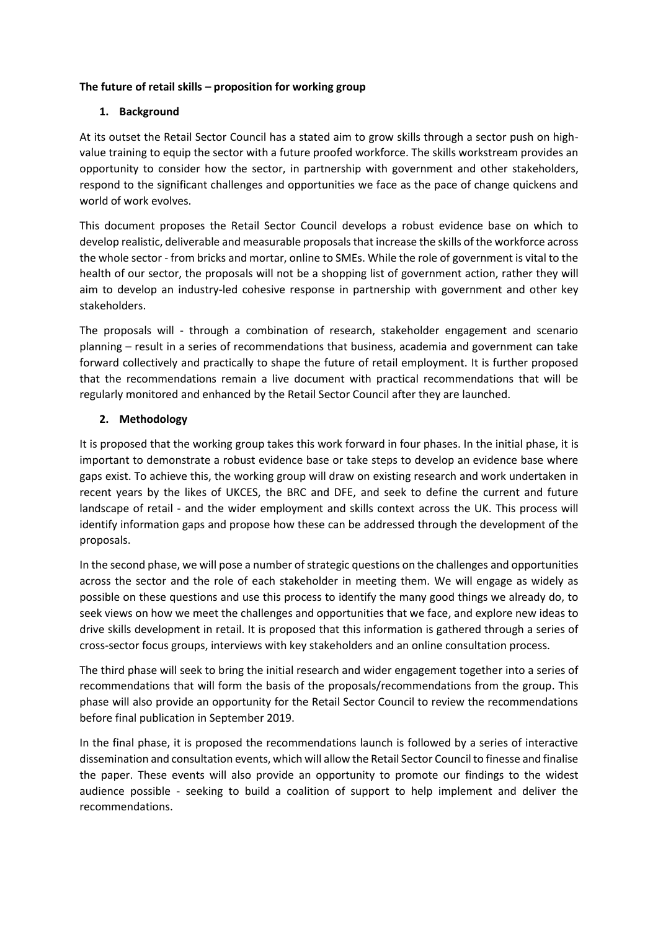# **The future of retail skills – proposition for working group**

# **1. Background**

At its outset the Retail Sector Council has a stated aim to grow skills through a sector push on highvalue training to equip the sector with a future proofed workforce. The skills workstream provides an opportunity to consider how the sector, in partnership with government and other stakeholders, respond to the significant challenges and opportunities we face as the pace of change quickens and world of work evolves.

This document proposes the Retail Sector Council develops a robust evidence base on which to develop realistic, deliverable and measurable proposals that increase the skills of the workforce across the whole sector - from bricks and mortar, online to SMEs. While the role of government is vital to the health of our sector, the proposals will not be a shopping list of government action, rather they will aim to develop an industry-led cohesive response in partnership with government and other key stakeholders.

The proposals will - through a combination of research, stakeholder engagement and scenario planning – result in a series of recommendations that business, academia and government can take forward collectively and practically to shape the future of retail employment. It is further proposed that the recommendations remain a live document with practical recommendations that will be regularly monitored and enhanced by the Retail Sector Council after they are launched.

## **2. Methodology**

It is proposed that the working group takes this work forward in four phases. In the initial phase, it is important to demonstrate a robust evidence base or take steps to develop an evidence base where gaps exist. To achieve this, the working group will draw on existing research and work undertaken in recent years by the likes of UKCES, the BRC and DFE, and seek to define the current and future landscape of retail - and the wider employment and skills context across the UK. This process will identify information gaps and propose how these can be addressed through the development of the proposals.

In the second phase, we will pose a number of strategic questions on the challenges and opportunities across the sector and the role of each stakeholder in meeting them. We will engage as widely as possible on these questions and use this process to identify the many good things we already do, to seek views on how we meet the challenges and opportunities that we face, and explore new ideas to drive skills development in retail. It is proposed that this information is gathered through a series of cross-sector focus groups, interviews with key stakeholders and an online consultation process.

The third phase will seek to bring the initial research and wider engagement together into a series of recommendations that will form the basis of the proposals/recommendations from the group. This phase will also provide an opportunity for the Retail Sector Council to review the recommendations before final publication in September 2019.

In the final phase, it is proposed the recommendations launch is followed by a series of interactive dissemination and consultation events, which will allow the Retail Sector Council to finesse and finalise the paper. These events will also provide an opportunity to promote our findings to the widest audience possible - seeking to build a coalition of support to help implement and deliver the recommendations.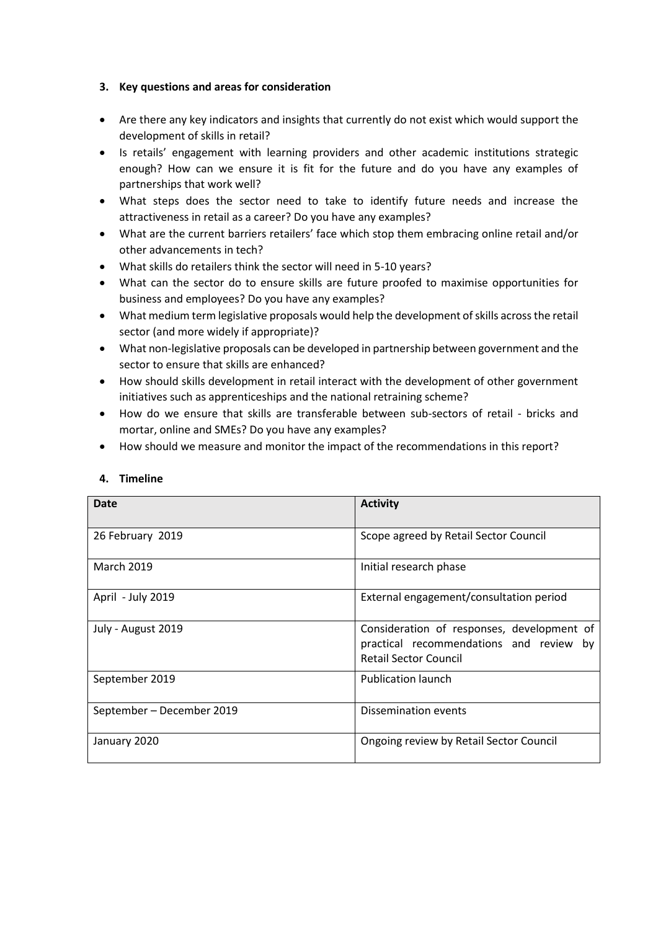# **3. Key questions and areas for consideration**

- Are there any key indicators and insights that currently do not exist which would support the development of skills in retail?
- Is retails' engagement with learning providers and other academic institutions strategic enough? How can we ensure it is fit for the future and do you have any examples of partnerships that work well?
- What steps does the sector need to take to identify future needs and increase the attractiveness in retail as a career? Do you have any examples?
- What are the current barriers retailers' face which stop them embracing online retail and/or other advancements in tech?
- What skills do retailers think the sector will need in 5-10 years?
- What can the sector do to ensure skills are future proofed to maximise opportunities for business and employees? Do you have any examples?
- What medium term legislative proposals would help the development of skills across the retail sector (and more widely if appropriate)?
- What non-legislative proposals can be developed in partnership between government and the sector to ensure that skills are enhanced?
- How should skills development in retail interact with the development of other government initiatives such as apprenticeships and the national retraining scheme?
- How do we ensure that skills are transferable between sub-sectors of retail bricks and mortar, online and SMEs? Do you have any examples?
- How should we measure and monitor the impact of the recommendations in this report?

| Date                      | <b>Activity</b>                                                                                                       |
|---------------------------|-----------------------------------------------------------------------------------------------------------------------|
| 26 February 2019          | Scope agreed by Retail Sector Council                                                                                 |
| <b>March 2019</b>         | Initial research phase                                                                                                |
| April - July 2019         | External engagement/consultation period                                                                               |
| July - August 2019        | Consideration of responses, development of<br>practical recommendations and review by<br><b>Retail Sector Council</b> |
| September 2019            | <b>Publication launch</b>                                                                                             |
| September – December 2019 | <b>Dissemination events</b>                                                                                           |
| January 2020              | Ongoing review by Retail Sector Council                                                                               |

#### **4. Timeline**